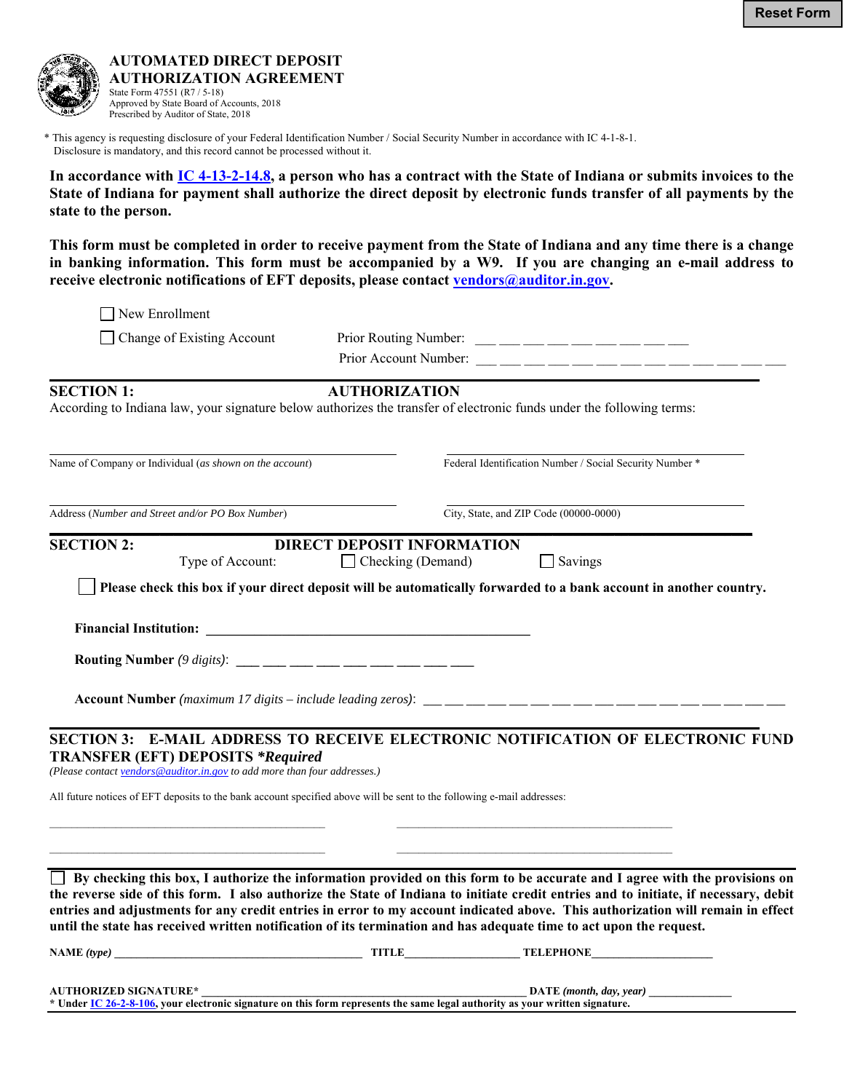

**AUTOMATED DIRECT DEPOSIT AUTHORIZATION AGREEMENT**  State Form 47551 (R7 / 5-18) Approved by State Board of Accounts, 2018 Prescribed by Auditor of State, 2018

 \* This agency is requesting disclosure of your Federal Identification Number / Social Security Number in accordance with IC 4-1-8-1. Disclosure is mandatory, and this record cannot be processed without it.

**In accordance with [IC 4-13-2-14.8,](http://iga.in.gov/legislative/laws/2017/ic/titles/004/#4-13-2-14.8) a person who has a contract with the State of Indiana or submits invoices to the State of Indiana for payment shall authorize the direct deposit by electronic funds transfer of all payments by the state to the person.** 

**This form must be completed in order to receive payment from the State of Indiana and any time there is a change in banking information. This form must be accompanied by a W9. If you are changing an e-mail address to**  receive electronic notifications of EFT deposits, please contact vendors@auditor.in.gov.

New Enrollment

 $\Box$  Change of Existing Account Prior Routing Number:  $\Box$   $\Box$   $\Box$   $\Box$   $\Box$   $\Box$ 

Prior Account Number:

**\_\_\_\_\_\_\_\_\_\_\_\_\_\_\_\_\_\_\_\_\_\_\_\_\_\_\_\_\_\_\_\_\_\_\_\_\_\_\_\_\_\_\_\_\_\_\_\_\_\_\_\_\_\_\_\_\_\_\_\_\_\_\_\_\_\_\_\_\_\_\_\_\_\_\_\_\_\_\_\_\_\_\_\_\_\_\_\_\_\_\_\_\_\_\_\_\_\_\_\_\_\_\_ SECTION 1: AUTHORIZATION** 

According to Indiana law, your signature below authorizes the transfer of electronic funds under the following terms:

Name of Company or Individual (*as shown on the account*) Federal Identification Number / Social Security Number \*

Address (*Number and Street and/or PO Box Number*) City, State, and ZIP Code (00000-0000) **\_\_\_\_\_\_\_\_\_\_\_\_\_\_\_\_\_\_\_\_\_\_\_\_\_\_\_\_\_\_\_\_\_\_\_\_\_\_\_\_\_\_\_\_\_\_\_\_\_\_\_\_\_\_\_\_\_\_\_\_\_\_\_\_\_\_\_\_\_\_\_\_\_\_\_\_\_\_\_\_\_\_\_\_\_\_\_\_\_\_\_\_\_\_\_\_\_\_\_\_\_\_** 

l

**SECTION 2: DIRECT DEPOSIT INFORMATION** Type of Account: Checking (Demand) Savings

 **Please check this box if your direct deposit will be automatically forwarded to a bank account in another country.** 

**Financial Institution: \_\_\_\_\_\_\_\_\_\_\_\_\_\_\_\_\_\_\_\_\_\_\_\_\_\_\_\_\_\_\_\_\_\_\_\_\_\_\_\_\_\_\_\_\_\_\_** 

**Routing Number** (9 digits): \_\_\_ \_\_\_ \_\_\_ \_\_\_ \_\_\_ \_\_\_ \_\_\_ \_\_\_ \_\_\_

**Account Number** *(maximum 17 digits – include leading zeros)*: \_\_\_ \_\_\_ \_\_\_ \_\_\_ \_\_\_ \_\_\_ \_\_\_ \_\_\_ \_\_\_ \_\_\_ \_\_\_ \_\_\_ \_\_\_ \_\_\_ \_\_\_ \_\_\_ \_\_\_

## **SECTION 3: E-MAIL ADDRESS TO RECEIVE ELECTRONIC NOTIFICATION OF ELECTRONIC FUND TRANSFER (EFT) DEPOSITS** *\*Required*

**\_\_\_\_\_\_\_\_\_\_\_\_\_\_\_\_\_\_\_\_\_\_\_\_\_\_\_\_\_\_\_\_\_\_\_\_\_\_\_\_\_\_\_\_\_\_\_\_\_\_\_\_\_\_\_\_\_\_\_\_\_\_\_\_\_\_\_\_\_\_\_\_\_\_\_\_\_\_\_\_\_\_\_\_\_\_\_\_\_\_\_\_\_\_\_\_\_\_\_\_\_\_\_** 

*(Please contact vendors@auditor.in.gov to add more than four addresses.)* 

All future notices of EFT deposits to the bank account specified above will be sent to the following e-mail addresses:

 **By checking this box, I authorize the information provided on this form to be accurate and I agree with the provisions on the reverse side of this form. I also authorize the State of Indiana to initiate credit entries and to initiate, if necessary, debit entries and adjustments for any credit entries in error to my account indicated above. This authorization will remain in effect until the state has received written notification of its termination and has adequate time to act upon the request.** 

| $NAME$ (type)                | TTLE                                                                                                                         | <b>TELEPHONE</b>        |
|------------------------------|------------------------------------------------------------------------------------------------------------------------------|-------------------------|
|                              |                                                                                                                              |                         |
| <b>AUTHORIZED SIGNATURE*</b> |                                                                                                                              | DATE (month, day, year) |
|                              | * Under IC 26-2-8-106, your electronic signature on this form represents the same legal authority as your written signature. |                         |